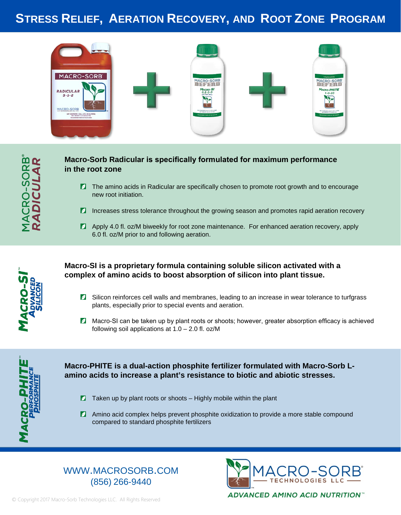## **STRESS RELIEF, AERATION RECOVERY, AND ROOT ZONE PROGRAM**



## **Macro-Sorb Radicular is specifically formulated for maximum performance in the root zone**

- **Z** The amino acids in Radicular are specifically chosen to promote root growth and to encourage new root initiation.
- **Increases stress tolerance throughout the growing season and promotes rapid aeration recovery**
- **Apply 4.0 fl. oz/M biweekly for root zone maintenance. For enhanced aeration recovery, apply** 6.0 fl. oz/M prior to and following aeration.



### **Macro-SI is a proprietary formula containing soluble silicon activated with a complex of amino acids to boost absorption of silicon into plant tissue.**

- **Z** Silicon reinforces cell walls and membranes, leading to an increase in wear tolerance to turfgrass plants, especially prior to special events and aeration.
- **Z** Macro-SI can be taken up by plant roots or shoots; however, greater absorption efficacy is achieved following soil applications at  $1.0 - 2.0$  fl. oz/M



### **Macro-PHITE is a dual-action phosphite fertilizer formulated with Macro-Sorb Lamino acids to increase a plant's resistance to biotic and abiotic stresses.**

- $\blacksquare$  Taken up by plant roots or shoots Highly mobile within the plant
- **Z** Amino acid complex helps prevent phosphite oxidization to provide a more stable compound compared to standard phosphite fertilizers

## WWW.MACROSORB.COM (856) 266-9440